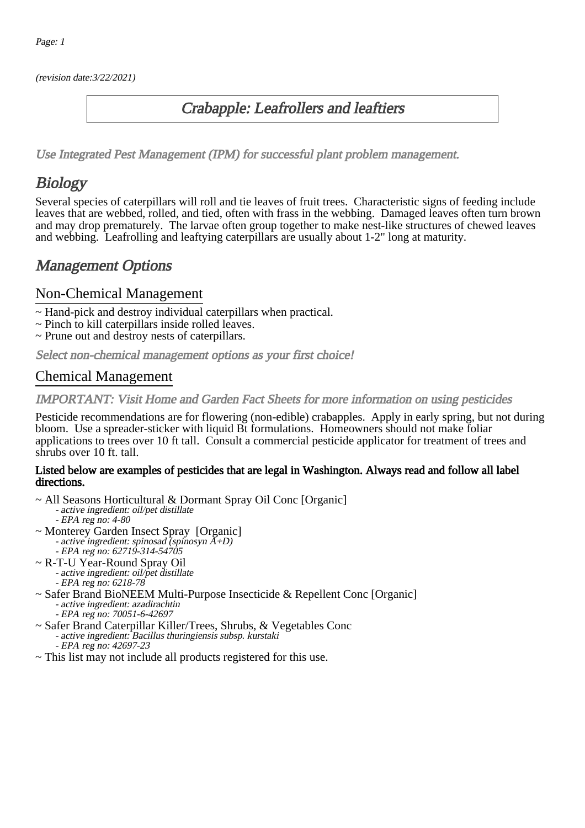(revision date:3/22/2021)

#### Crabapple: Leafrollers and leaftiers

[Use Integrated Pest Management \(IPM\) for successful plant problem management.](http://pep.wsu.edu/Home_Garden/H_G_Pesticide_info/urban_Integrated_Pest_Managmen/)

# **Biology**

Several species of caterpillars will roll and tie leaves of fruit trees. Characteristic signs of feeding include leaves that are webbed, rolled, and tied, often with frass in the webbing. Damaged leaves often turn brown and may drop prematurely. The larvae often group together to make nest-like structures of chewed leaves and webbing. Leafrolling and leaftying caterpillars are usually about 1-2" long at maturity.

## Management Options

#### Non-Chemical Management

- ~ Hand-pick and destroy individual caterpillars when practical.
- ~ Pinch to kill caterpillars inside rolled leaves.
- ~ Prune out and destroy nests of caterpillars.

Select non-chemical management options as your first choice!

#### Chemical Management

IMPORTANT: [Visit Home and Garden Fact Sheets for more information on using pesticides](http://pep.wsu.edu/Home_Garden/H_G_Pesticide_info/)

Pesticide recommendations are for flowering (non-edible) crabapples. Apply in early spring, but not during bloom. Use a spreader-sticker with liquid Bt formulations. Homeowners should not make foliar applications to trees over 10 ft tall. Consult a commercial pesticide applicator for treatment of trees and shrubs over 10 ft. tall.

#### Listed below are examples of pesticides that are legal in Washington. Always read and follow all label directions.

- ~ All Seasons Horticultural & Dormant Spray Oil Conc [Organic] - active ingredient: oil/pet distillate - EPA reg no: 4-80
- ~ Monterey Garden Insect Spray [Organic] - active ingredient: spinosad (spinosyn A+D) EPA reg no: 62719-314-54705
- ~ R-T-U Year-Round Spray Oil
	- active ingredient: oil/pet distillate
	- EPA reg no: 6218-78
- ~ Safer Brand BioNEEM Multi-Purpose Insecticide & Repellent Conc [Organic] - active ingredient: azadirachtin
	- EPA reg no: 70051-6-42697
- ~ Safer Brand Caterpillar Killer/Trees, Shrubs, & Vegetables Conc
	- active ingredient: Bacillus thuringiensis subsp. kurstaki
		- EPA reg no: 42697-23
- ~ This list may not include all products registered for this use.